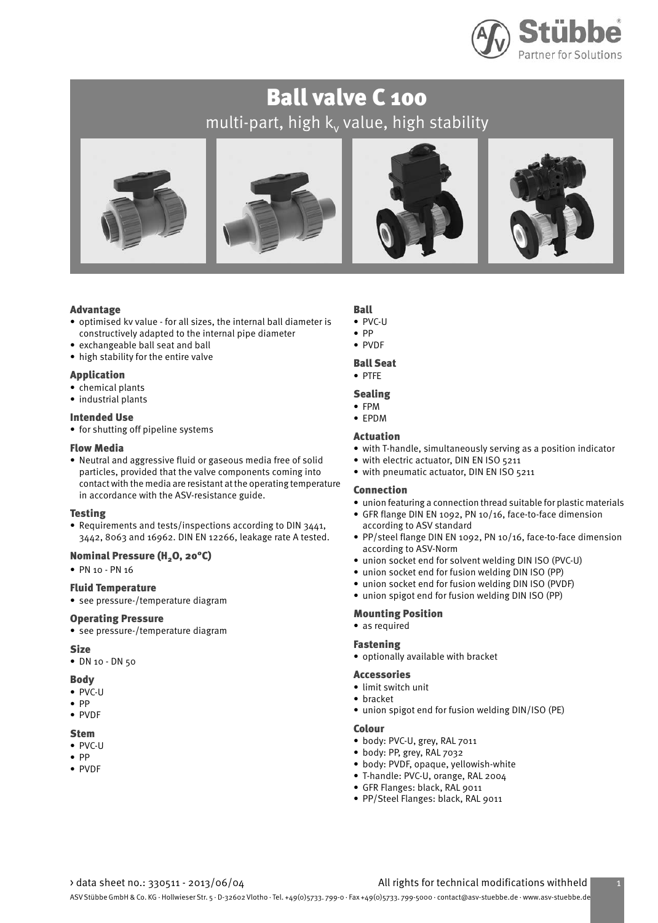

# Ball valve C 100 multi-part, high  $\mathsf{k}_\mathsf{v}$  value, high stability



#### Advantage

- optimised kv value for all sizes, the internal ball diameter is constructively adapted to the internal pipe diameter
- exchangeable ball seat and ball
- high stability for the entire valve

#### Application

- chemical plants
- industrial plants

#### Intended Use

• for shutting off pipeline systems

#### Flow Media

• Neutral and aggressive fluid or gaseous media free of solid particles, provided that the valve components coming into contact with the media are resistant at the operating temperature in accordance with the ASV-resistance guide.

#### Testing

• Requirements and tests/inspections according to DIN 3441, 3442, 8063 and 16962. DIN EN 12266, leakage rate A tested.

### Nominal Pressure (H<sub>2</sub>O, 20°C)

• PN 10 - PN 16

#### Fluid Temperature

• see pressure-/temperature diagram

#### Operating Pressure

• see pressure-/temperature diagram

#### Size

• DN 10 - DN 50

#### Body

- PVC-U
- PP
- PVDF

#### Stem

- PVC-U
- PP
- PVDF

#### Ball • PVC-U

- PP
- PVDF

### Ball Seat

### • PTFE

#### Sealing

• FPM

### • EPDM

#### Actuation

- with T-handle, simultaneously serving as a position indicator
- with electric actuator, DIN EN ISO 5211
- with pneumatic actuator, DIN EN ISO 5211

#### Connection

- union featuring a connection thread suitable for plastic materials
- GFR flange DIN EN 1092, PN 10/16, face-to-face dimension according to ASV standard
- PP/steel flange DIN EN 1092, PN 10/16, face-to-face dimension according to ASV-Norm
- union socket end for solvent welding DIN ISO (PVC-U)
- union socket end for fusion welding DIN ISO (PP)
- union socket end for fusion welding DIN ISO (PVDF)
- union spigot end for fusion welding DIN ISO (PP)

### Mounting Position

### • as required

#### Fastening

• optionally available with bracket

#### Accessories

- limit switch unit
- bracket
- union spigot end for fusion welding DIN/ISO (PE)

#### Colour

- body: PVC-U, grey, RAL 7011
- body: PP, grey, RAL 7032
- body: PVDF, opaque, yellowish-white
- T-handle: PVC-U, orange, RAL 2004
- GFR Flanges: black, RAL 9011
- PP/Steel Flanges: black, RAL 9011

#### > data sheet no.: 330511 - 2013/06/04 All rights for technical modifications withheld 1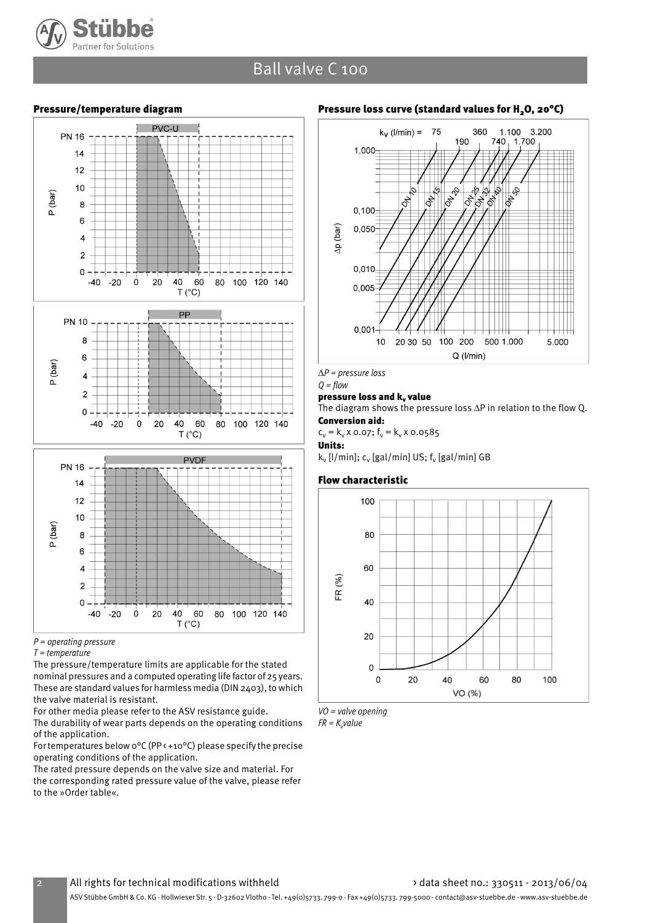

### Ball valve C 100

#### Pressure/temperature diagram



 $P =$  operating pressure

The pressure/temperature limits are applicable for the stated nominal pressures and a computed operating life factor of 25 years. These are standard values for harmless media (DIN 2403), to which the valve material is resistant.

For other media please refer to the ASV resistance guide.

The durability of wear parts depends on the operating conditions of the application.

For temperatures below 0°C (PP < +10°C) please specify the precise operating conditions of the application.

The rated pressure depends on the valve size and material. For the corresponding rated pressure value of the valve, please refer to the »Order table«.

#### Pressure loss curve (standard values for  $H<sub>2</sub>O$ , 20°C)



*∆*P = pressure loss

#### $Q = flow$ pressure loss and k, value

The diagram shows the pressure loss ∆P in relation to the flow Q. Conversion aid:

 $c_v = k_v \times 0.07$ ;  $f_v = k_v \times 0.0585$ 

Units:

k<sub>v</sub> [l/min]; c<sub>v</sub> [gal/min] US; f<sub>v</sub> [gal/min] GB

#### Flow characteristic





FR =  $K_{\mathsf{v}}$ value

 $T = temperature$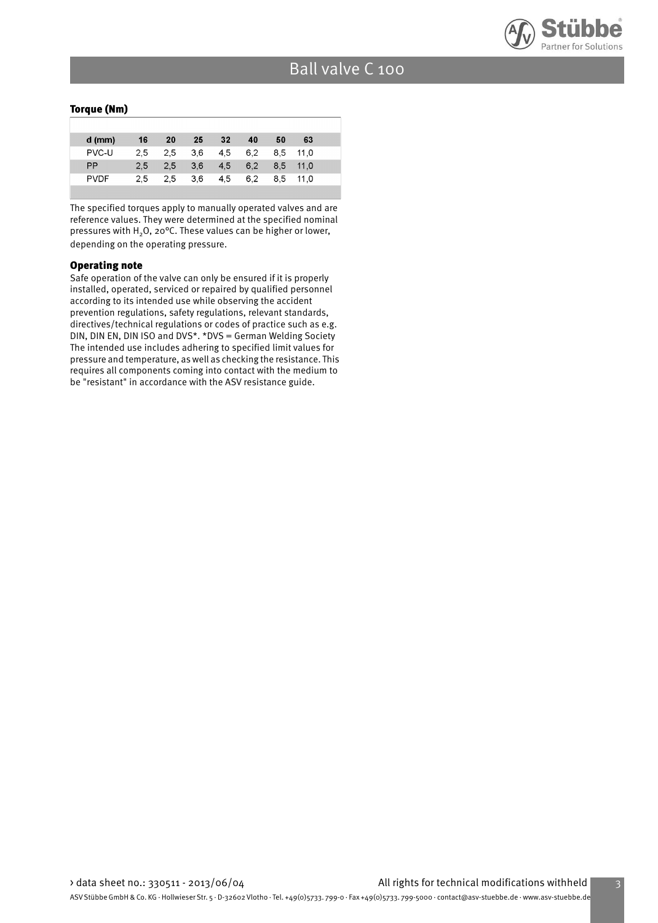

#### Torque (Nm)

| $d$ (mm)    | 16  | 20  | 25  | 32  | 40  | 50  | 63   |  |
|-------------|-----|-----|-----|-----|-----|-----|------|--|
| PVC-U       | 2.5 | 2.5 | 3.6 | 4.5 | 6.2 | 8.5 | 11.0 |  |
| <b>PP</b>   | 2.5 | 2.5 | 3.6 | 4.5 | 6.2 | 8.5 | 11.0 |  |
| <b>PVDF</b> | 2.5 | 2.5 | 3.6 | 4.5 | 6.2 | 8.5 | 11.0 |  |
|             |     |     |     |     |     |     |      |  |

The specified torques apply to manually operated valves and are reference values. They were determined at the specified nominal pressures with  $H_2O$ , 20°C. These values can be higher or lower, depending on the operating pressure.

#### Operating note

Safe operation of the valve can only be ensured if it is properly installed, operated, serviced or repaired by qualified personnel according to its intended use while observing the accident prevention regulations, safety regulations, relevant standards, directives/technical regulations or codes of practice such as e.g. DIN, DIN EN, DIN ISO and DVS\*. \*DVS = German Welding Society The intended use includes adhering to specified limit values for pressure and temperature, as well as checking the resistance. This requires all components coming into contact with the medium to be "resistant" in accordance with the ASV resistance guide.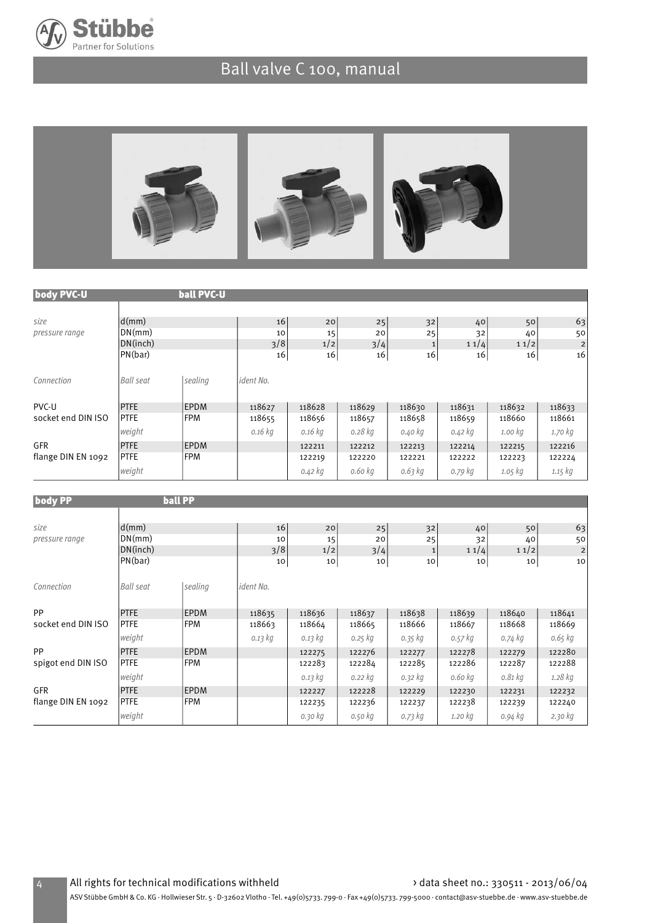

# Ball valve C 100, manual



| body PVC-U         |                  | <b>ball PVC-U</b> |             |             |             |             |             |             |                         |
|--------------------|------------------|-------------------|-------------|-------------|-------------|-------------|-------------|-------------|-------------------------|
|                    |                  |                   |             |             |             |             |             |             |                         |
| size               | d(mm)            |                   | 16          | 20          | 25          | 32          | 40          | 50          | 63                      |
| pressure range     | DN(mm)           |                   | 10          | 15          | 20          | 25          | 32          | 40          | 50                      |
|                    | DN(inch)         |                   | 3/8         | 1/2         | 3/4         | $\mathbf 1$ | 11/4        | 11/2        | $\overline{\mathbf{c}}$ |
|                    | PN(bar)          |                   | 16          | 16          | 16          | 16          | 16          | 16          | 16                      |
| Connection         | <b>Ball seat</b> | sealing           | ident No.   |             |             |             |             |             |                         |
| PVC-U              | <b>PTFE</b>      | <b>EPDM</b>       | 118627      | 118628      | 118629      | 118630      | 118631      | 118632      | 118633                  |
| socket end DIN ISO | <b>PTFE</b>      | <b>FPM</b>        | 118655      | 118656      | 118657      | 118658      | 118659      | 118660      | 118661                  |
|                    | weight           |                   | 0.16 kg     | $0.16$ $kg$ | 0.28 kg     | 0.40 kg     | 0.42 kg     | 1.00 kg     | 1.70 kg                 |
| GFR                | <b>PTFE</b>      | <b>EPDM</b>       |             | 122211      | 122212      | 122213      | 122214      | 122215      | 122216                  |
| flange DIN EN 1092 | <b>PTFE</b>      | <b>FPM</b>        |             | 122219      | 122220      | 122221      | 122222      | 122223      | 122224                  |
|                    | weight           |                   |             | 0.42 kg     | 0.60 kg     | 0.63 kg     | 0.79 kg     | $1.05$ $kg$ | 1.15 kg                 |
|                    |                  | <b>ball PP</b>    |             |             |             |             |             |             |                         |
| <b>body PP</b>     |                  |                   |             |             |             |             |             |             |                         |
| size               | d(mm)            |                   | 16          | 20          | 25          | 32          | 40          | 50          | 63                      |
| pressure range     | DN(mm)           |                   | 10          | 15          | 20          | 25          | 32          | 40          | 50                      |
|                    | DN(inch)         |                   | 3/8         | 1/2         | 3/4         | $\mathbf 1$ | 11/4        | 11/2        | $\overline{c}$          |
|                    | PN(bar)          |                   | 10          | 10          | 10          | $10\,$      | 10          | 10          | 10                      |
| Connection         | <b>Ball seat</b> | sealing           | ident No.   |             |             |             |             |             |                         |
| PP                 | <b>PTFE</b>      | <b>EPDM</b>       | 118635      | 118636      | 118637      | 118638      | 118639      | 118640      | 118641                  |
| socket end DIN ISO | <b>PTFE</b>      | <b>FPM</b>        | 118663      | 118664      | 118665      | 118666      | 118667      | 118668      | 118669                  |
|                    | weight           |                   | $0.13$ $kg$ | 0.13 kg     | $0.25$ $kg$ | 0.35 kg     | $0.57$ $kg$ | 0.74 kg     | 0.65 kg                 |
| PP                 | <b>PTFF</b>      | <b>FPDM</b>       |             | 122275      | 122276      | 122277      | 122278      | 122270      | 122280                  |

| PP                 | <b>PTFE</b> | <b>IEPDM</b> | 122275  | 122276  | 122277  | 122278  | 122279  | 122280  |
|--------------------|-------------|--------------|---------|---------|---------|---------|---------|---------|
| spigot end DIN ISO | <b>PTFE</b> | <b>FPM</b>   | 122283  | 122284  | 122285  | 122286  | 122287  | 122288  |
|                    | weight      |              | 0.13 kg | 0.22 kg | 0.32 kg | 0.60 kg | 0.81 kg | 1.28 kg |
| GFR                | <b>PTFE</b> | <b>EPDM</b>  | 122227  | 122228  | 122229  | 122230  | 122231  | 122232  |
| flange DIN EN 1092 | <b>PTFE</b> | <b>FPM</b>   | 122235  | 122236  | 122237  | 122238  | 122239  | 122240  |
|                    | weight      |              | 0.30 kg | 0.50 kg | 0.73 kg | 1.20 kg | 0.94 kg | 2.30 kg |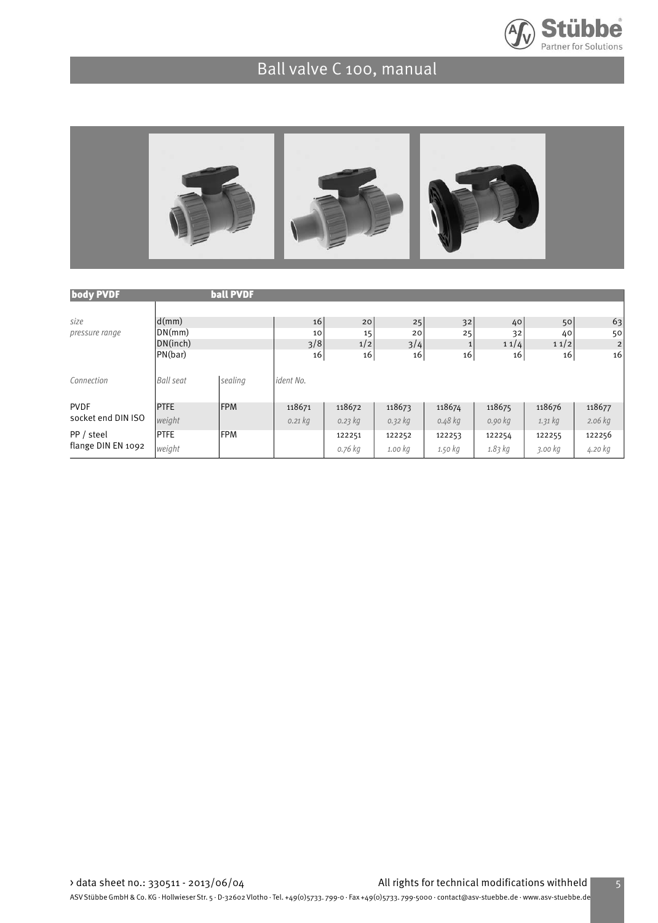

# Ball valve C 100, manual



| <b>body PVDF</b>                 |                                        | <b>ball PVDF</b> |                              |                 |                 |                          |                  |                  |                            |
|----------------------------------|----------------------------------------|------------------|------------------------------|-----------------|-----------------|--------------------------|------------------|------------------|----------------------------|
| size<br>pressure range           | d(mm)<br>DN(mm)<br>DN(inch)<br>PN(bar) |                  | 16 <sub>1</sub><br>10<br>3/8 | 20<br>15<br>1/2 | 25<br>20<br>3/4 | 32<br>25<br>$\mathbf{1}$ | 40<br>32<br>11/4 | 50<br>40<br>11/2 | 63<br>50<br>$\overline{2}$ |
| Connection                       | <b>Ball seat</b>                       | sealing          | 16<br>ident No.              | 16              | 16              | 16                       | 16               | 16               | 16                         |
| <b>PVDF</b>                      | <b>PTFE</b>                            | <b>IFPM</b>      | 118671                       | 118672          | 118673          | 118674                   | 118675           | 118676           | 118677                     |
| socket end DIN ISO               | weight                                 |                  | $0.21$ $kg$                  | 0.23 kg         | 0.32 kg         | 0.48 kg                  | 0.90 kg          | 1.31 kg          | $2.06$ kg                  |
| PP / steel<br>flange DIN EN 1092 | <b>PTFE</b>                            | <b>FPM</b>       |                              | 122251          | 122252          | 122253                   | 122254           | 122255           | 122256                     |
|                                  | weight                                 |                  |                              | o.76 kg         | 1.00 kg         | 1.50 kg                  | 1.83 kg          | 3.00 kg          | 4.20 kg                    |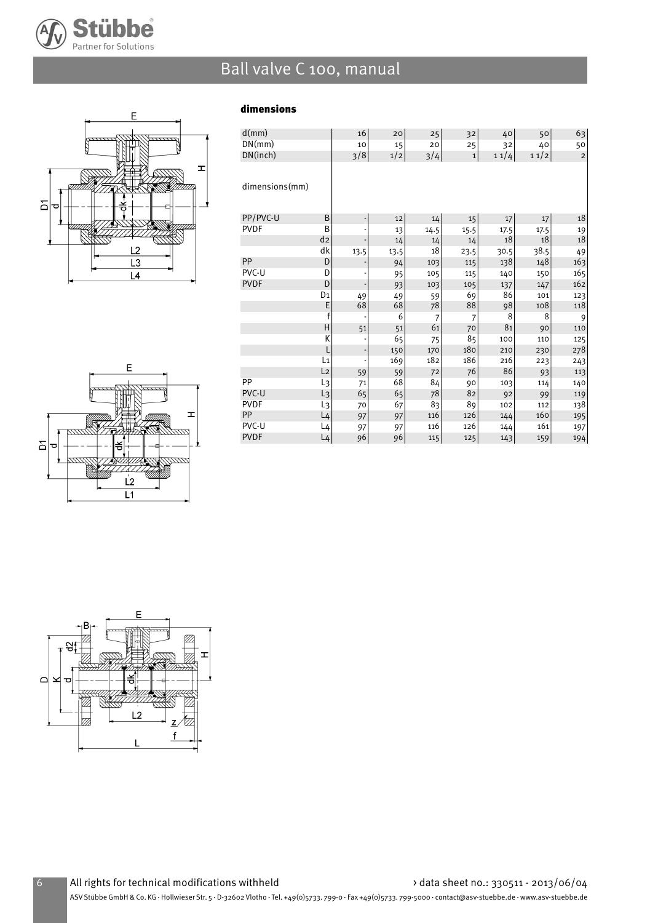

# Ball valve C 100, manual

dimensions



| d(mm)          |                | 16                       | 20   | 25             | 32             | 40   | 50   | 63                      |
|----------------|----------------|--------------------------|------|----------------|----------------|------|------|-------------------------|
| DN(mm)         |                | 10                       | 15   | 20             | 25             | 32   | 40   | 50                      |
| DN(inch)       |                | 3/8                      | 1/2  | 3/4            | $\mathbf 1$    | 11/4 | 11/2 | $\overline{\mathbf{c}}$ |
|                |                |                          |      |                |                |      |      |                         |
| dimensions(mm) |                |                          |      |                |                |      |      |                         |
| PP/PVC-U       | B              | ٠                        | 12   | 14             | 15             | 17   | 17   | 18                      |
| <b>PVDF</b>    | B              |                          | 13   | 14.5           | 15.5           | 17.5 | 17.5 | 19                      |
|                | d <sub>2</sub> |                          | 14   | 14             | 14             | 18   | 18   | 18                      |
|                | dk             | 13.5                     | 13.5 | 18             | 23.5           | 30.5 | 38.5 | 49                      |
| PP             | D              | -                        | 94   | 103            | 115            | 138  | 148  | 163                     |
| PVC-U          | D              |                          | 95   | 105            | 115            | 140  | 150  | 165                     |
| <b>PVDF</b>    | D              |                          | 93   | 103            | 105            | 137  | 147  | 162                     |
|                | D1             | 49                       | 49   | 59             | 69             | 86   | 101  | 123                     |
|                | E              | 68                       | 68   | 78             | 88             | 98   | 108  | 118                     |
|                | f              |                          | 6    | $\overline{7}$ | $\overline{7}$ | 8    | 8    | 9                       |
|                | H              | 51                       | 51   | 61             | 70             | 81   | 90   | 110                     |
|                | К              | $\overline{\phantom{a}}$ | 65   | 75             | 85             | 100  | 110  | 125                     |
|                | L              | ÷                        | 150  | 170            | 180            | 210  | 230  | 278                     |
|                | L1             |                          | 169  | 182            | 186            | 216  | 223  | 243                     |
|                | L <sub>2</sub> | 59                       | 59   | 72             | 76             | 86   | 93   | 113                     |
| PP             | L3             | 71                       | 68   | 84             | 90             | 103  | 114  | 140                     |
| PVC-U          | L3             | 65                       | 65   | 78             | 82             | 92   | 99   | 119                     |
| <b>PVDF</b>    | L3             | 70                       | 67   | 83             | 89             | 102  | 112  | 138                     |
| PP             | $L_4$          | 97                       | 97   | 116            | 126            | 144  | 160  | 195                     |
| PVC-U          | $L_4$          | 97                       | 97   | 116            | 126            | 144  | 161  | 197                     |
| <b>PVDF</b>    | $L_4$          | 96                       | 96   | 115            | 125            | 143  | 159  | 194                     |



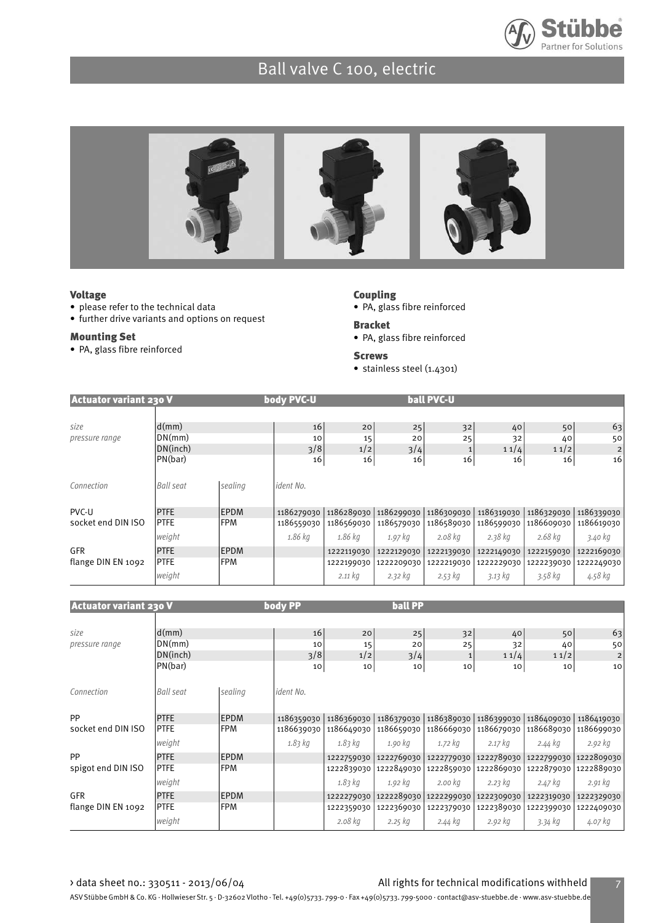



#### Voltage

- please refer to the technical data
- further drive variants and options on request

#### Mounting Set

• PA, glass fibre reinforced

### Coupling

- PA, glass fibre reinforced
- Bracket
- PA, glass fibre reinforced

#### Screws

• stainless steel (1.4301)

| <b>Actuator variant 230 V</b> |                  |             | body PVC-U |            |            | ball PVC-U |             |            |            |
|-------------------------------|------------------|-------------|------------|------------|------------|------------|-------------|------------|------------|
|                               |                  |             |            |            |            |            |             |            |            |
| size                          | d(mm)            |             | 16         | 20         | 25         | 32         | 40          | 50         | 63         |
| pressure range                | DN(mm)           |             | 10         | 15         | 20         | 25         | 32          | 40         | 50         |
|                               | DN(inch)         |             | 3/8        | 1/2        | 3/4        |            | 11/4        | 11/2       | 2          |
|                               | PN(bar)          |             | 16         | 16         | 16         | 16         | 16          | 16         | 16         |
|                               |                  |             |            |            |            |            |             |            |            |
| Connection                    | <b>Ball seat</b> | sealing     | ident No.  |            |            |            |             |            |            |
|                               |                  |             |            |            |            |            |             |            |            |
| PVC-U                         | <b>PTFE</b>      | <b>EPDM</b> | 1186279030 | 1186289030 | 1186299030 | 1186309030 | 1186319030  | 1186329030 | 1186339030 |
| socket end DIN ISO            | <b>PTFE</b>      | <b>IFPM</b> | 1186559030 | 1186569030 | 1186579030 | 1186589030 | 1186599030  | 1186609030 | 1186619030 |
|                               | weight           |             | 1.86 kg    | 1.86 kg    | 1.97 kg    | 2.08 kg    | $2.38$ $kg$ | 2.68 kg    | 3.40 kg    |
| <b>GFR</b>                    | <b>PTFE</b>      | <b>EPDM</b> |            | 1222119030 | 1222129030 | 1222139030 | 1222149030  | 1222159030 | 1222169030 |
| flange DIN EN 1092            | <b>PTFE</b>      | <b>FPM</b>  |            | 1222199030 | 1222209030 | 1222219030 | 1222229030  | 1222239030 | 1222249030 |
|                               | weight           |             |            | 2.11 kg    | 2.32 kg    | 2.53 kg    | 3.13 kg     | 3.58 kg    | 4.58 kg    |

| <b>Actuator variant 230 V</b> |                  |             | body PP          |            | <b>ball PP</b> |            |            |            |                |
|-------------------------------|------------------|-------------|------------------|------------|----------------|------------|------------|------------|----------------|
|                               |                  |             |                  |            |                |            |            |            |                |
| size                          | d(mm)            |             | 16               | 20         | 25             | 32         | 40         | 50         | 63             |
| pressure range                | DN(mm)           |             | 10               | 15         | 20             | 25         | 32         | 40         | 50             |
|                               | DN(inch)         |             | 3/8              | 1/2        | 3/4            | 1          | 11/4       | 11/2       | $\overline{2}$ |
|                               | PN(bar)          |             | 10               | 10         | 10             | 10         | 10         | 10         | 10             |
| Connection                    | <b>Ball seat</b> | sealing     | <i>ident No.</i> |            |                |            |            |            |                |
| <b>PP</b>                     | <b>PTFE</b>      | <b>EPDM</b> | 1186359030       | 1186369030 | 1186379030     | 1186389030 | 1186399030 | 1186409030 | 1186419030     |
| socket end DIN ISO            | <b>PTFE</b>      | <b>FPM</b>  | 1186639030       | 1186649030 | 1186659030     | 1186669030 | 1186679030 | 1186689030 | 1186699030     |
|                               | weight           |             | $1.83$ kg        | $1.83$ kg  | 1.90 kg        | 1.72 kg    | $2.17$ kg  | 2.44 kg    | 2.92 kg        |
| <b>PP</b>                     | <b>PTFE</b>      | <b>EPDM</b> |                  | 1222759030 | 1222769030     | 1222779030 | 1222789030 | 1222799030 | 1222809030     |
| spigot end DIN ISO            | <b>PTFE</b>      | lFPM.       |                  | 1222839030 | 1222849030     | 1222859030 | 1222869030 | 1222879030 | 1222889030     |
|                               | weight           |             |                  | $1.83$ kg  | 1.92 kg        | 2.00 kg    | 2.23 kg    | 2.47 kg    | 2.91 kg        |
| <b>GFR</b>                    | <b>PTFE</b>      | <b>EPDM</b> |                  | 1222279030 | 1222289030     | 1222299030 | 1222309030 | 1222319030 | 1222329030     |
| flange DIN EN 1092            | <b>PTFE</b>      | <b>FPM</b>  |                  | 1222359030 | 1222369030     | 1222379030 | 1222389030 | 1222399030 | 1222409030     |
|                               | weight           |             |                  | 2.08 kg    | $2.25$ $kg$    | 2.44 kg    | 2.92 kg    | 3.34 kg    | 4.07 kg        |

#### > data sheet no.: 330511 - 2013/06/04 All rights for technical modifications withheld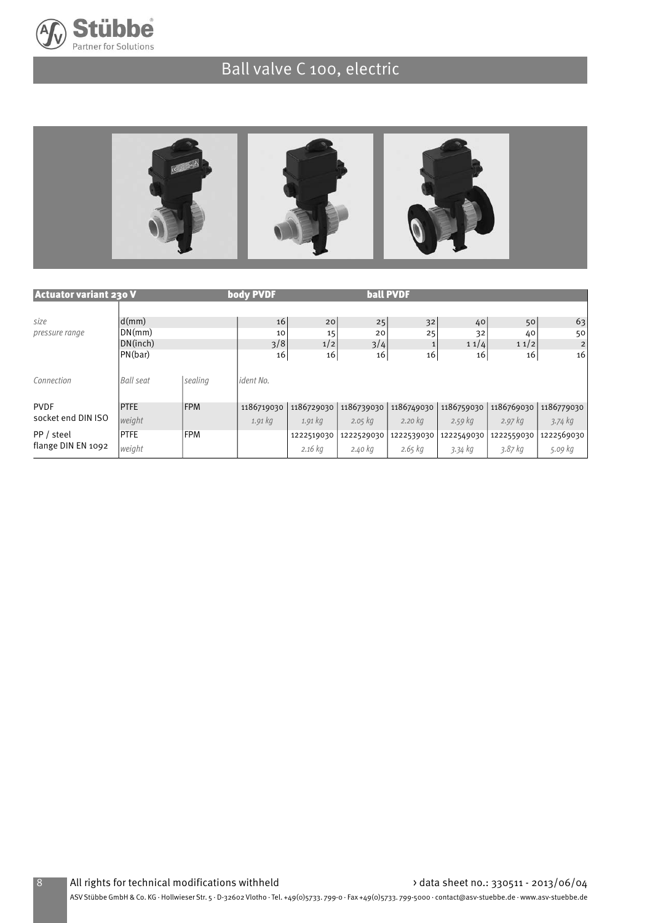



| <b>Actuator variant 230 V</b>    |                                                 |             | body PVDF       |                 |                 | <b>ball PVDF</b> |                  |                  |                            |
|----------------------------------|-------------------------------------------------|-------------|-----------------|-----------------|-----------------|------------------|------------------|------------------|----------------------------|
| size<br>pressure range           | $\mathsf{d}(m\mathsf{m})$<br>DN(mm)<br>DN(inch) |             | 16<br>10<br>3/8 | 20<br>15<br>1/2 | 25<br>20<br>3/4 | 32<br>25         | 40<br>32<br>11/4 | 50<br>40<br>11/2 | 63<br>50<br>$\overline{c}$ |
|                                  | PN(bar)                                         |             | 16              | 16              | 16              | 16               | 16               | 16               | 16                         |
| Connection                       | <b>Ball seat</b>                                | sealing     | ident No.       |                 |                 |                  |                  |                  |                            |
| <b>PVDF</b>                      | <b>PTFE</b>                                     | <b>IFPM</b> | 1186719030      | 1186729030      | 1186739030      | 1186749030       | 1186759030       | 1186769030       | 1186779030                 |
| socket end DIN ISO               | weight                                          |             | $1.91$ kg       | $1.91\,$ kg     | $2.05$ $kg$     | $2.20$ kg        | $2.59$ kg        | $2.97$ kg        | $3.74$ kg                  |
| PP / steel<br>flange DIN EN 1092 | <b>PTFE</b>                                     | <b>FPM</b>  |                 | 1222519030      | 1222529030      | 1222539030       | 1222549030       | 1222559030       | 1222569030                 |
|                                  | weight                                          |             |                 | $2.16$ kg       | 2.40 kg         | 2.65 kg          | 3.34 kg          | 3.87 kg          | 5.09 kg                    |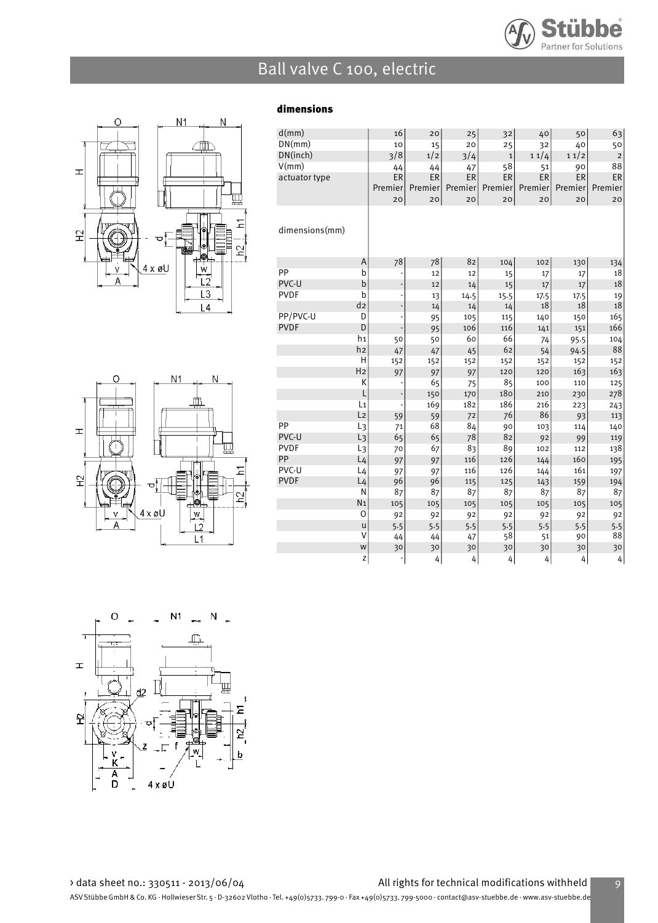



 $N<sub>1</sub>$ 

Ó

 $\pm$ 

 $\tilde{H}$ 

N

### dimensions

| d(mm)          |                | 16                       | 20      | 25      | 32           | 40        | 50      | 63          |
|----------------|----------------|--------------------------|---------|---------|--------------|-----------|---------|-------------|
| DN(mm)         |                | 10                       | 15      | 20      | 25           | 32        | 40      | 50          |
| DN(inch)       |                | 3/8                      | 1/2     | 3/4     | $\mathbf{1}$ | 11/4      | 11/2    | $\mathbf 2$ |
| V(mm)          |                | 44                       | 44      | 47      | 58           | 51        | 90      | 88          |
| actuator type  |                | ER                       | ER      | ER      | ER           | <b>ER</b> | ER      | ER          |
|                |                | Premier                  | Premier | Premier | Premier      | Premier   | Premier | Premier     |
|                |                | 20                       | 20      | 20      | 20           | 20        | 20      | 20          |
| dimensions(mm) |                |                          |         |         |              |           |         |             |
|                | A              | 78                       | 78      | 82      | 104          | 102       | 130     | 134         |
| PP             | b              |                          | 12      | 12      | 15           | 17        | 17      | 18          |
| PVC-U          | b              | $\overline{\phantom{a}}$ | 12      | 14      | 15           | 17        | 17      | 18          |
| <b>PVDF</b>    | b              | ÷                        | 13      | 14.5    | 15.5         | 17.5      | 17.5    | 19          |
|                | d <sub>2</sub> | $\overline{\phantom{a}}$ | 14      | 14      | 14           | $18\,$    | 18      | 18          |
| PP/PVC-U       | D              | ÷                        | 95      | 105     | 115          | 140       | 150     | 165         |
| <b>PVDF</b>    | D              |                          | 95      | 106     | 116          | 141       | 151     | 166         |
|                | h1             | 50                       | 50      | 60      | 66           | 74        | 95.5    | 104         |
|                | h <sub>2</sub> | 47                       | 47      | 45      | 62           | 54        | 94.5    | 88          |
|                | H              | 152                      | 152     | 152     | 152          | 152       | 152     | 152         |
|                | H <sub>2</sub> | 97                       | 97      | 97      | 120          | 120       | 163     | 163         |
|                | К              | ł,                       | 65      | 75      | 85           | 100       | 110     | 125         |
|                | L              | ÷                        | 150     | 170     | 180          | 210       | 230     | 278         |
|                | L1             |                          | 169     | 182     | 186          | 216       | 223     | 243         |
|                | L <sub>2</sub> | 59                       | 59      | 72      | 76           | 86        | 93      | 113         |
| PP             | L <sub>3</sub> | 71                       | 68      | 84      | 90           | 103       | 114     | 140         |
| PVC-U          | L <sub>3</sub> | 65                       | 65      | 78      | 82           | 92        | 99      | 119         |
| <b>PVDF</b>    | L3             | 70                       | 67      | 83      | 89           | 102       | 112     | 138         |
| PP             | L <sub>4</sub> | 97                       | 97      | 116     | 126          | 144       | 160     | 195         |
| PVC-U          | $L_4$          | 97                       | 97      | 116     | 126          | 144       | 161     | 197         |
| <b>PVDF</b>    | L <sub>4</sub> | 96                       | 96      | 115     | 125          | 143       | 159     | 194         |
|                | N              | 87                       | 87      | 87      | 87           | 87        | 87      | 87          |
|                | N <sub>1</sub> | 105                      | 105     | 105     | 105          | 105       | 105     | 105         |
|                | 0              | 92                       | 92      | 92      | 92           | 92        | 92      | 92          |
|                | u              | 5.5                      | 5.5     | 5.5     | 5.5          | 5.5       | 5.5     | 5.5         |
|                | V              | 44                       | 44      | 47      | 58           | 51        | 90      | 88          |
|                | W              | 30                       | 30      | 30      | 30           | 30        | 30      | 30          |
|                | Z              |                          | 4       | 4       | 4            | 4         | 4       | 4           |



 $4 \times 6$ U

 $W$  $L2^{'}$  $L1$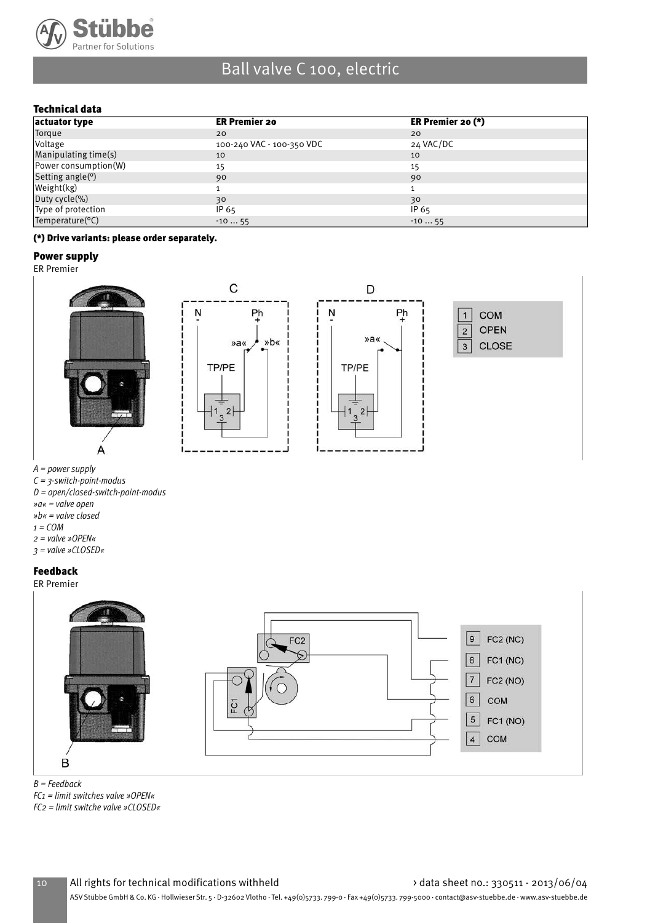

### Technical data

| actuator type         | <b>ER Premier 20</b>      | ER Premier 20 $(*)$ |
|-----------------------|---------------------------|---------------------|
| Torque                | 20                        | 20                  |
| <i><b>Voltage</b></i> | 100-240 VAC - 100-350 VDC | 24 VAC/DC           |
| Manipulating time(s)  | 10                        | 10                  |
| Power consumption(W)  | 15                        | 15                  |
| Setting angle $(°)$   | 90                        | 90                  |
| Weight(kg)            |                           |                     |
| Duty cycle(%)         | 30                        | 30                  |
| Type of protection    | IP 65                     | IP 65               |
| Temperature(°C)       | $-1055$                   | $-1055$             |

#### (\*) Drive variants: please order separately.

#### Power supply

ER Premier



A = power supply

- $C = 3$ -switch-point-modus
- D = open/closed-switch-point-modus
- »a« = valve open
- »b« = valve closed
- $1 = COM$
- 2 = valve »OPEN«
- 3 = valve »CLOSED«

#### Feedback

ER Premier



 $B = Feedback$ 

 $FC1 =$  limit switches valve »OPEN«

FC2 = limit switche valve »CLOSED«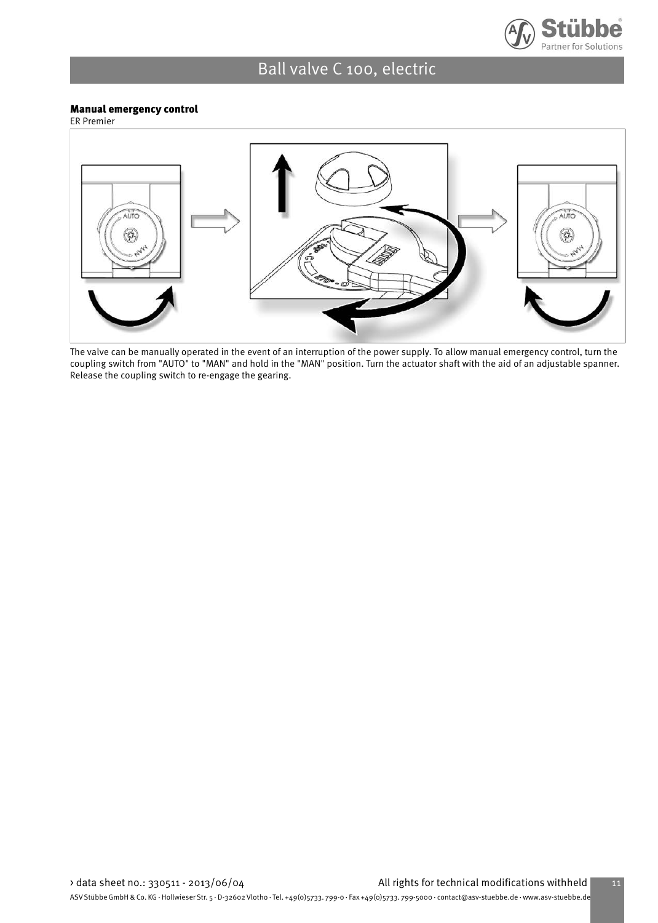

#### Manual emergency control

ER Premier



The valve can be manually operated in the event of an interruption of the power supply. To allow manual emergency control, turn the coupling switch from "AUTO" to "MAN" and hold in the "MAN" position. Turn the actuator shaft with the aid of an adjustable spanner. Release the coupling switch to re-engage the gearing.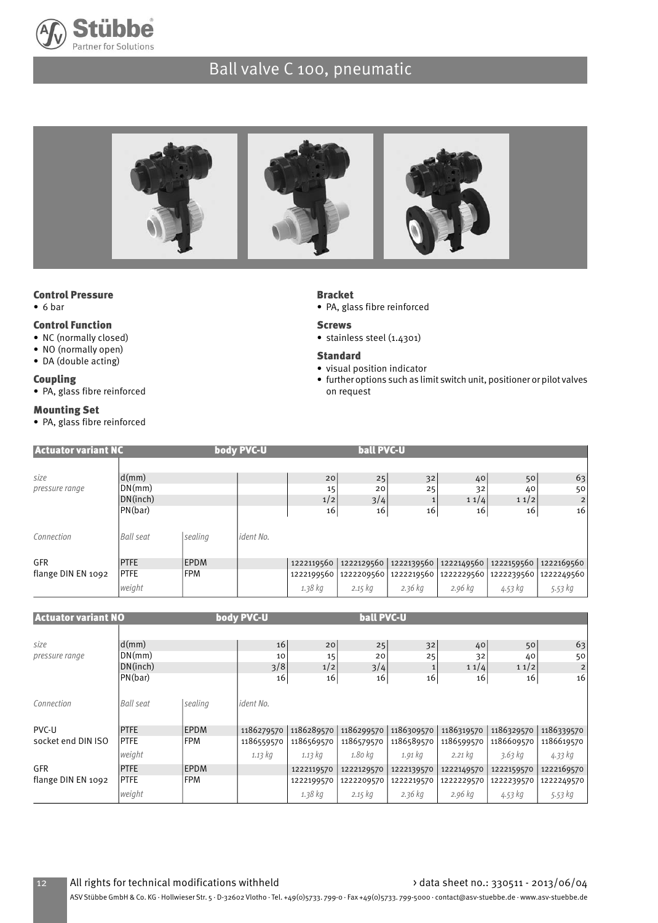



### Control Pressure

• 6 bar

#### Control Function

- NC (normally closed)
- NO (normally open)
- DA (double acting)

#### Coupling

• PA, glass fibre reinforced

#### Mounting Set

• PA, glass fibre reinforced

#### Bracket

- PA, glass fibre reinforced
- Screws
- stainless steel (1.4301)
- Standard
- visual position indicator
- further options such as limit switch unit, positioner or pilot valves on request

| <b>Actuator variant NC</b> |                                                 |             | body PVC-U |                 | <b>ball PVC-U</b> |                                                        |                  |                  |                            |
|----------------------------|-------------------------------------------------|-------------|------------|-----------------|-------------------|--------------------------------------------------------|------------------|------------------|----------------------------|
| size<br>pressure range     | $\mathsf{d}(\mathsf{mm})$<br>DN(mm)<br>DN(inch) |             |            | 20<br>15<br>1/2 | 25<br>20<br>3/4   | 32<br>25                                               | 40<br>32<br>11/4 | 50<br>40<br>11/2 | 63<br>50<br>$\overline{2}$ |
|                            | PN(bar)                                         |             |            | 16              | 16                | 16                                                     | 16               | 16               | 16                         |
| Connection                 | <b>Ball seat</b>                                | sealing     | ident No.  |                 |                   |                                                        |                  |                  |                            |
| <b>GFR</b>                 | <b>PTFE</b>                                     | <b>EPDM</b> |            | 1222119560      |                   | 1222129560   1222139560   1222149560   1222159560      |                  |                  | 1222169560                 |
| flange DIN EN 1092         | <b>PTFE</b>                                     | <b>FPM</b>  |            |                 |                   | 1222199560 1222209560 1222219560 1222229560 1222239560 |                  |                  | 1222249560                 |
|                            | weight                                          |             |            | 1.38 kg         | $2.15$ $kg$       | $2.36$ kg                                              | 2.96 kg          | 4.53 kg          | 5.53 kg                    |
|                            |                                                 |             |            |                 |                   |                                                        |                  |                  |                            |
| <b>Actuator variant NO</b> |                                                 |             | body PVC-U |                 | <b>ball PVC-U</b> |                                                        |                  |                  |                            |

| <b>ACCURCUI VOITOILL ILU</b> |                           |             | $1000$ $1000$    |            |            |              |                     |            |                |
|------------------------------|---------------------------|-------------|------------------|------------|------------|--------------|---------------------|------------|----------------|
|                              |                           |             |                  |            |            |              |                     |            |                |
| size                         | $\mathsf{d}(\mathsf{mm})$ |             | 16               | 20         | 25         | 32           | 40                  | 50         | 63             |
| pressure range               | DN(mm)                    |             | 10               | 15         | 20         | 25           | 32                  | 40         | 50             |
|                              | DN(inch)                  |             | 3/8              | 1/2        | 3/4        | $\mathbf{1}$ | 11/4                | 11/2       | $\overline{2}$ |
|                              | PN(bar)                   |             | 16               | 16         | 16         | 16           | 16                  | 16         | 16             |
|                              |                           |             |                  |            |            |              |                     |            |                |
| Connection                   | Ball seat                 | sealing     | <i>ident No.</i> |            |            |              |                     |            |                |
|                              |                           |             |                  |            |            |              |                     |            |                |
| PVC-U                        | <b>PTFE</b>               | <b>EPDM</b> | 1186279570       | 1186289570 | 1186299570 | 1186309570   | 1186319570          | 1186329570 | 1186339570     |
| socket end DIN ISO           | <b>PTFE</b>               | <b>FPM</b>  | 1186559570       | 1186569570 | 1186579570 | 1186589570   | 1186599570          | 1186609570 | 1186619570     |
|                              | weight                    |             | 1.13 kg          | $1.13\ kg$ | 1.80 kg    | 1.91 kg      | $2.21\,\mathrm{kg}$ | 3.63 kg    | 4.33 kg        |
| <b>GFR</b>                   | <b>PTFE</b>               | <b>EPDM</b> |                  | 1222119570 | 1222129570 | 1222139570   | 1222149570          | 1222159570 | 1222169570     |
| flange DIN EN 1092           | <b>PTFE</b>               | <b>FPM</b>  |                  | 1222199570 | 1222209570 | 1222219570   | 1222229570          | 1222239570 | 1222249570     |
|                              | weight                    |             |                  | 1.38 kg    | $2.15$ kg  | $2.36$ kg    | 2.96 kg             | 4.53 kg    | 5.53 kg        |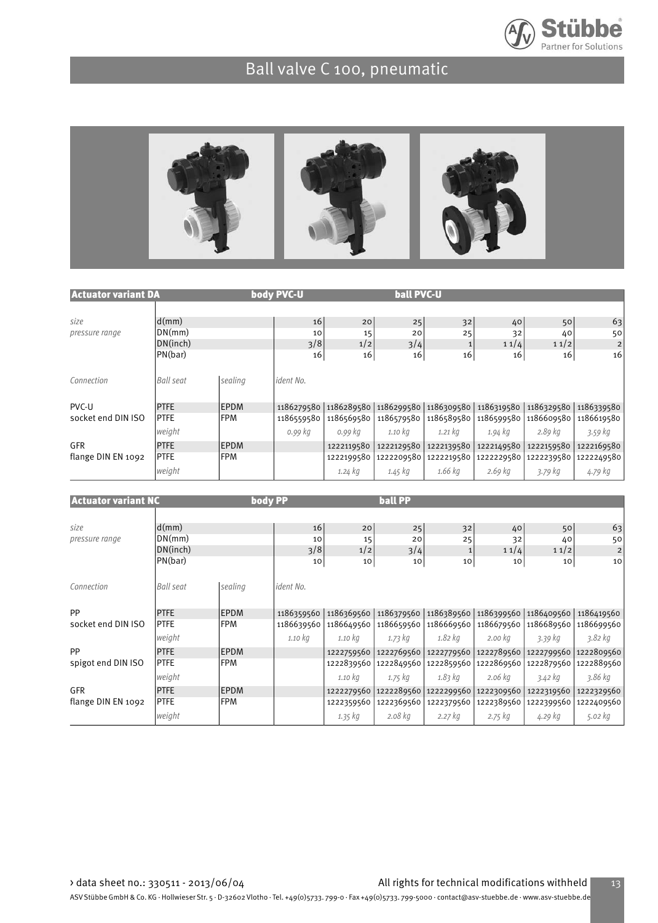



| <b>Actuator variant DA</b> |                                        |             | body PVC-U             |                 | <b>ball PVC-U</b>     |            |                  |                  |                                  |
|----------------------------|----------------------------------------|-------------|------------------------|-----------------|-----------------------|------------|------------------|------------------|----------------------------------|
| size<br>pressure range     | d(mm)<br>DN(mm)<br>DN(inch)<br>PN(bar) |             | 16<br>10<br>3/8        | 20<br>15<br>1/2 | 25<br>20<br>3/4       | 32<br>25   | 40<br>32<br>11/4 | 50<br>40<br>11/2 | 63<br>50<br>$\overline{2}$<br>16 |
| Connection                 | Ball seat                              | sealing     | 16<br><i>ident No.</i> | 16              | 16                    | 16         | 16               | 16               |                                  |
| PVC-U                      | <b>PTFE</b>                            | <b>EPDM</b> | 1186279580             |                 | 1186289580 1186299580 | 1186309580 | 1186319580       | 1186329580       | 1186339580                       |
| socket end DIN ISO         | <b>PTFE</b>                            | <b>FPM</b>  | 1186559580             | 1186569580      | 1186579580            | 1186589580 | 1186599580       | 1186609580       | 1186619580                       |
|                            | weight                                 |             | 0.99 kg                | 0.99 kg         | 1.10 kg               | 1.21 kg    | 1.94 kg          | 2.89 kg          | 3.59 kg                          |
| <b>GFR</b>                 | <b>PTFE</b>                            | <b>EPDM</b> |                        | 1222119580      | 1222129580            | 1222139580 | 1222149580       | 1222159580       | 1222169580                       |
| flange DIN EN 1092         | <b>PTFE</b>                            | <b>FPM</b>  |                        | 1222199580      | 1222209580            | 1222219580 | 1222229580       | 1222239580       | 1222249580                       |
|                            | weight                                 |             |                        | 1.24 kg         | 1.45 kg               | 1.66 kg    | 2.69 kg          | 3.79 kg          | 4.79 kg                          |

| <b>Actuator variant NC</b> |                  | body PP     |            |            | <b>ball PP</b> |                                                   |            |            |                       |
|----------------------------|------------------|-------------|------------|------------|----------------|---------------------------------------------------|------------|------------|-----------------------|
|                            |                  |             |            |            |                |                                                   |            |            |                       |
| size                       | d(mm)            |             | 16         | 20         | 25             | 32                                                | 40         | 50         | 63                    |
| pressure range             | DN(mm)           |             | 10         | 15         | 20             | 25                                                | 32         | 40         | 50                    |
| DN(inch)                   |                  |             | 3/8        | 1/2        | 3/4            | $\mathbf{1}$                                      | 11/4       | 11/2       | 2                     |
|                            | PN(bar)          |             | 10         | 10         | 10             | 10                                                | 10         | 10         | 10                    |
| Connection                 | <b>Ball seat</b> | sealing     | ident No.  |            |                |                                                   |            |            |                       |
| PP                         | <b>PTFE</b>      | <b>EPDM</b> | 1186359560 | 1186369560 |                | 1186379560   1186389560   1186399560   1186409560 |            |            | 1186419560            |
| socket end DIN ISO         | <b>PTFE</b>      | <b>FPM</b>  | 1186639560 | 1186649560 | 1186659560     | 1186669560                                        | 1186679560 | 1186689560 | 1186699560            |
|                            | weight           |             | 1.10 kg    | 1.10 kg    | 1.73 kg        | 1.82 kg                                           | 2.00 kg    | 3.39 kg    | 3.82 kg               |
| PP                         | <b>PTFE</b>      | <b>EPDM</b> |            | 1222759560 |                | 1222769560 1222779560 1222789560                  |            |            | 1222799560 1222809560 |
| spigot end DIN ISO         | <b>PTFE</b>      | <b>FPM</b>  |            | 1222839560 |                | 1222849560 1222859560 1222869560                  |            |            | 1222879560 1222889560 |
|                            | weight           |             |            | 1.10 kg    | 1.75 kg        | 1.83 kg                                           | 2.06 kg    | 3.42 kg    | 3.86 kg               |
| <b>GFR</b>                 | <b>PTFE</b>      | <b>EPDM</b> |            |            |                | 1222279560 1222289560 1222299560 1222309560       |            | 1222319560 | 1222329560            |
| flange DIN EN 1092         | <b>PTFE</b>      | <b>FPM</b>  |            | 1222359560 | 1222369560     | 1222379560                                        | 1222389560 | 1222399560 | 1222409560            |
|                            | weight           |             |            | 1.35 kg    | 2.08 kg        | 2.27 kg                                           | 2.75 kg    | 4.29 kg    | 5.02 $kg$             |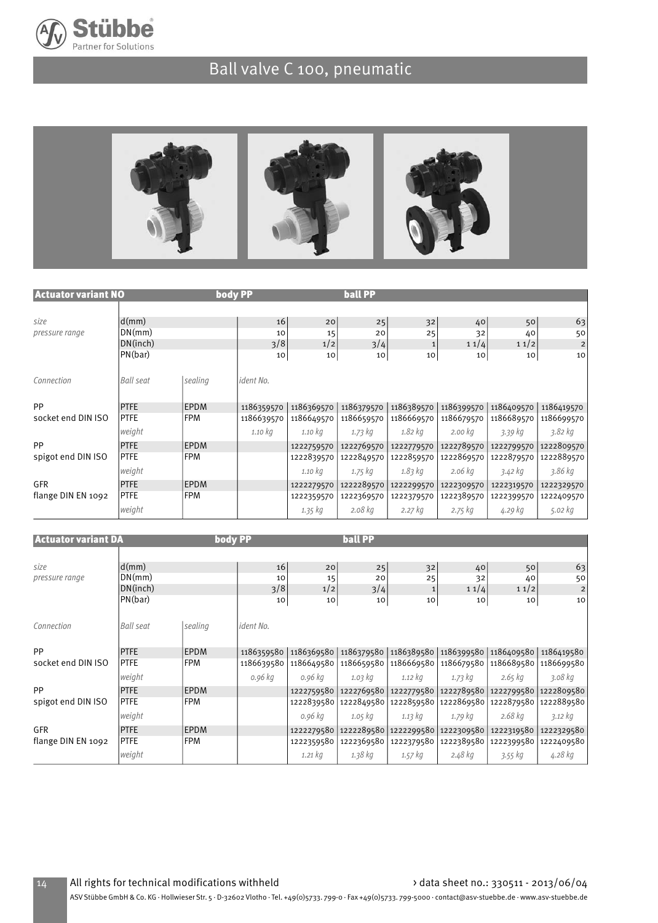



| <b>Actuator variant NO</b> |                                        | body PP     |                       |                       | <b>ball PP</b>        |                                |                        |                        |                                           |
|----------------------------|----------------------------------------|-------------|-----------------------|-----------------------|-----------------------|--------------------------------|------------------------|------------------------|-------------------------------------------|
| size<br>pressure range     | d(mm)<br>DN(mm)<br>DN(inch)<br>PN(bar) |             | 16<br>10<br>3/8<br>10 | 20<br>15<br>1/2<br>10 | 25<br>20<br>3/4<br>10 | 32<br>25<br>$\mathbf{1}$<br>10 | 40<br>32<br>11/4<br>10 | 50<br>40<br>11/2<br>10 | 63<br>50<br>$\overline{\mathbf{c}}$<br>10 |
| Connection                 | Ball seat                              | sealing     | <i>ident No.</i>      |                       |                       |                                |                        |                        |                                           |
| PP                         | <b>PTFE</b>                            | EPDM        | 1186359570            | 1186369570            | 1186379570            | 1186389570                     | 1186399570             | 1186409570             | 1186419570                                |
| socket end DIN ISO         | <b>PTFE</b>                            | <b>FPM</b>  | 1186639570            | 1186649570            | 1186659570            | 1186669570                     | 1186679570             | 1186689570             | 1186699570                                |
|                            | weight                                 |             | 1.10 kg               | 1.10 kg               | 1.73 kg               | 1.82 kg                        | 2.00 kg                | 3.39 kg                | 3.82 kg                                   |
| PP                         | <b>PTFE</b>                            | <b>EPDM</b> |                       | 1222759570            | 1222769570            | 1222779570                     | 1222789570             | 1222799570             | 1222809570                                |
| spigot end DIN ISO         | <b>IPTFE</b>                           | l FPM       |                       | 1222839570            | 1222849570            | 1222859570                     | 1222869570             | 1222879570             | 1222889570                                |
|                            | weight                                 |             |                       | 1.10 kg               | 1.75 kg               | 1.83 kg                        | 2.06 kg                | 3.42 kg                | 3.86 kg                                   |
| <b>GFR</b>                 | <b>PTFE</b>                            | <b>EPDM</b> |                       | 1222279570            | 1222289570            | 1222299570                     | 1222309570             | 1222319570             | 1222329570                                |
| flange DIN EN 1092         | <b>PTFE</b>                            | <b>FPM</b>  |                       | 1222359570            | 1222369570            | 1222379570                     | 1222389570             | 1222399570             | 1222409570                                |
|                            | weight                                 |             |                       | 1.35 kg               | 2.08 kg               | 2.27 kg                        | 2.75 kg                | 4.29 kg                | 5.02 kg                                   |

| <b>Actuator variant DA</b> |             | body PP     |                  |             | <b>ball PP</b> |                                                   |            |                       |                |
|----------------------------|-------------|-------------|------------------|-------------|----------------|---------------------------------------------------|------------|-----------------------|----------------|
|                            |             |             |                  |             |                |                                                   |            |                       |                |
| size                       | d(mm)       |             | 16               | 20          | 25             | 32                                                | 40         | 50                    | 63             |
| pressure range             | DN(mm)      |             | 10               | 15          | 20             | 25                                                | 32         | 40                    | 50             |
|                            | DN(inch)    |             | 3/8              | 1/2         | 3/4            | 1                                                 | 11/4       | 11/2                  | $\overline{c}$ |
|                            | PN(bar)     |             | 10               | 10          | 10             | 10                                                | 10         | 10                    | 10             |
| Connection                 | Ball seat   | sealing     | <i>ident No.</i> |             |                |                                                   |            |                       |                |
| PP                         | <b>PTFE</b> | <b>EPDM</b> | 1186359580       | 1186369580  |                | 1186379580   1186389580   1186399580   1186409580 |            |                       | 1186419580     |
| socket end DIN ISO         | <b>PTFE</b> | <b>FPM</b>  | 1186639580       | 1186649580  | 1186659580     | 1186669580                                        | 1186679580 | 1186689580 1186699580 |                |
|                            | weight      |             | 0.96 kg          | 0.96 kg     | 1.03 kg        | 1.12 kg                                           | 1.73 kg    | 2.65 kg               | 3.08 kg        |
| PP                         | <b>PTFE</b> | <b>EPDM</b> |                  | 1222759580  |                | 1222769580 1222779580 1222789580                  |            | 1222799580 1222809580 |                |
| spigot end DIN ISO         | <b>PTFE</b> | FPM         |                  | 1222839580  |                | 1222849580   1222859580   1222869580              |            | 1222879580 1222889580 |                |
|                            | weight      |             |                  | 0.96 kg     | 1.05 kg        | $1.13\,$ kg                                       | 1.79 kg    | 2.68 kg               | 3.12 kg        |
| <b>GFR</b>                 | <b>PTFE</b> | <b>EPDM</b> |                  |             |                | 1222279580 1222289580 1222299580 1222309580       |            | 1222319580            | 1222329580     |
| flange DIN EN 1092         | <b>PTFE</b> | <b>IFPM</b> |                  | 1222359580  |                | 1222369580   1222379580                           | 1222389580 | 1222399580 1222409580 |                |
|                            | weight      |             |                  | $1.21$ $kg$ | 1.38 kg        | 1.57 kg                                           | 2.48 kg    | 3.55 kg               | 4.28 kg        |

14 All rights for technical modifications withheld > data sheet no.: 330511 - 2013/06/04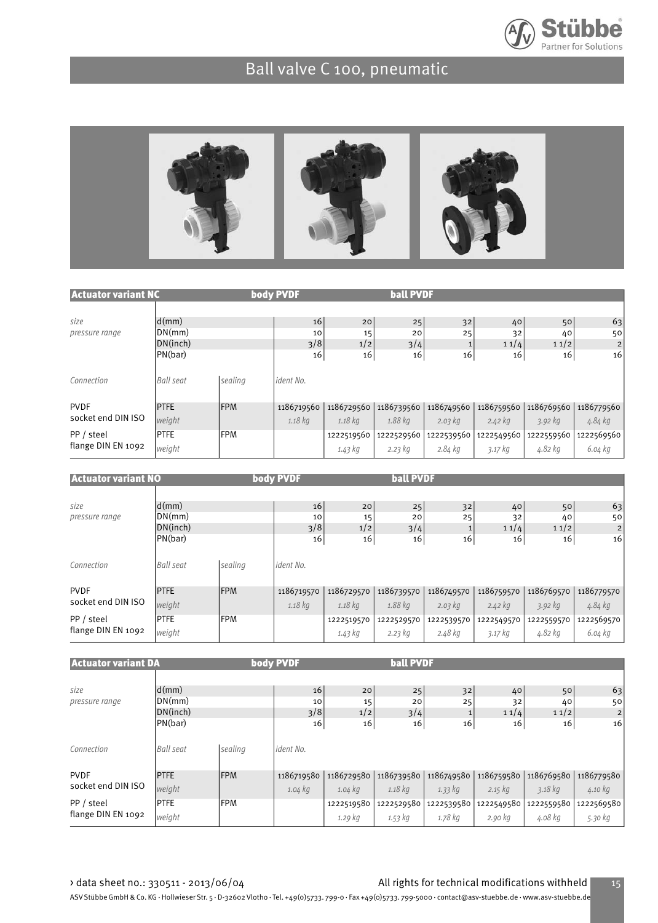



| <b>Actuator variant NC</b> |                  |            | body PVDF  |            | <b>ball PVDF</b> |                 |            |            |            |
|----------------------------|------------------|------------|------------|------------|------------------|-----------------|------------|------------|------------|
| size                       | d(mm)            |            | 16         | 20         | 25               | 32              | 40         | 50         | 63         |
| pressure range             | DN(mm)           |            | 10         | 15         | 20               | 25              | 32         | 40         | 50         |
|                            | DN(inch)         |            | 3/8        | 1/2        | 3/4              |                 | 11/4       | 11/2       | 2          |
|                            | PN(bar)          |            | 16         | 16         | 16               | 16 <sub>1</sub> | 16         | 16         | 16         |
| Connection                 | <b>Ball seat</b> | sealing    | ident No.  |            |                  |                 |            |            |            |
| <b>PVDF</b>                | <b>PTFE</b>      | <b>FPM</b> | 1186719560 | 1186729560 | 1186739560       | 1186749560      | 1186759560 | 1186769560 | 1186779560 |
| socket end DIN ISO         | weight           |            | $1.18$ kg  | 1.18 kg    | 1.88 kg          | 2.03 kg         | $2.42$ kg  | 3.92 kg    | 4.84 kg    |
| PP / steel                 | <b>PTFE</b>      | <b>FPM</b> |            | 1222519560 | 1222529560       | 1222539560      | 1222549560 | 1222559560 | 1222569560 |
| flange DIN EN 1092         | weight           |            |            | 1.43 kg    | 2.23 kg          | 2.84 kg         | $3.17$ kg  | 4.82 kg    | 6.04 kg    |

| Actuator variant NO    |                             |            | body PVDF       |                 | <b>ball PVDF</b> |            |                  |                  |               |
|------------------------|-----------------------------|------------|-----------------|-----------------|------------------|------------|------------------|------------------|---------------|
| size<br>pressure range | d(mm)<br>DN(mm)<br>DN(inch) |            | 16<br>10<br>3/8 | 20<br>15<br>1/2 | 25<br>20<br>3/4  | 32<br>25   | 40<br>32<br>11/4 | 50<br>40<br>11/2 | 63<br>50<br>2 |
| Connection             | PN(bar)<br><b>Ball seat</b> | sealing    | 16<br>ident No. | 16              | 16               | 16         | 16               | 16               | 16            |
| <b>PVDF</b>            | <b>PTFE</b>                 | <b>FPM</b> | 1186719570      | 1186729570      | 1186739570       | 1186749570 | 1186759570       | 1186769570       | 1186779570    |
| socket end DIN ISO     | weight                      |            | $1.18$ kg       | 1.18 kg         | 1.88 kg          | 2.03 kg    | $2.42$ kg        | 3.92 kg          | 4.84 kg       |
| PP / steel             | <b>PTFE</b>                 | <b>FPM</b> |                 | 1222519570      | 1222529570       | 1222539570 | 1222549570       | 1222559570       | 1222569570    |
| flange DIN EN 1092     | weight                      |            |                 | 1.43 kg         | 2.23 kg          | 2.48 kg    | 3.17 kg          | 4.82 kg          | 6.04 kg       |

| <b>Actuator variant DA</b> |                  |            | body PVDF        |                 | <b>ball PVDF</b> |                 |             |             |                |
|----------------------------|------------------|------------|------------------|-----------------|------------------|-----------------|-------------|-------------|----------------|
| size                       | d(mm)            |            | 16               | 20              | 25               | 32              | 40          | 50          | 63             |
| pressure range             | DN(mm)           |            | 10               | 15              | 20               | 25              | 32          | 40          | 50             |
|                            | DN(inch)         |            | 3/8              | 1/2             | 3/4              | $\mathbf{1}$    | 11/4        | 11/2        | $\overline{2}$ |
|                            | PN(bar)          |            | 16               | 16 <sub>1</sub> | 16               | 16 <sub>1</sub> | 16          | 16          | 16             |
| Connection                 | <b>Ball seat</b> | sealing    | <i>ident No.</i> |                 |                  |                 |             |             |                |
| <b>PVDF</b>                | <b>PTFE</b>      | <b>FPM</b> | 1186719580       | 1186729580      | 1186739580       | 1186749580      | 1186759580  | 1186769580  | 1186779580     |
| socket end DIN ISO         | weight           |            | $1.04$ kg        | $1.04$ kg       | $1.18$ kg        | 1.33 kg         | $2.15$ $kg$ | $3.18$ $kg$ | 4.10 kg        |
| PP / steel                 | <b>PTFE</b>      | <b>FPM</b> |                  | 1222519580      | 1222529580       | 1222539580      | 1222549580  | 1222559580  | 1222569580     |
| flange DIN EN 1092         | weight           |            |                  | $1.29$ kg       | 1.53 kg          | 1.78 kg         | 2.90 kg     | 4.08 kg     | 5.30 kg        |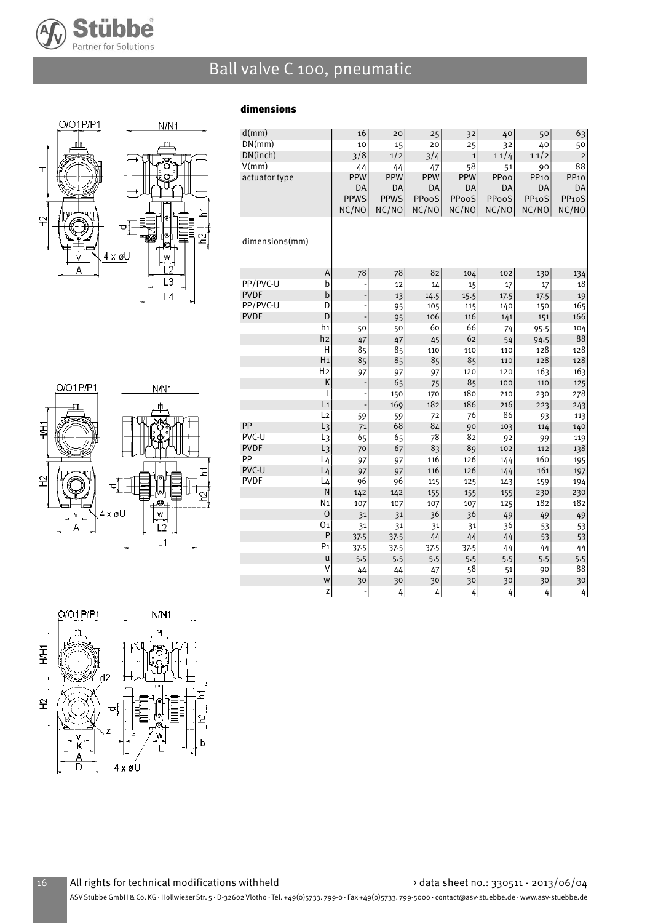

dimensions



| d(mm)          |                | 16                            | 20          | 25         | 32           | 40         | 50                 | 63                 |
|----------------|----------------|-------------------------------|-------------|------------|--------------|------------|--------------------|--------------------|
| DN(mm)         |                | 10                            | 15          | 20         | 25           | 32         | 40                 | 50                 |
| DN(inch)       |                | 3/8                           | 1/2         | 3/4        | $\mathbf{1}$ | 11/4       | 11/2               | $\overline{c}$     |
| V(mm)          |                | 44                            | 44          | 47         | 58           | 51         | 90                 | 88                 |
| actuator type  |                | PPW                           | <b>PPW</b>  | <b>PPW</b> | <b>PPW</b>   | PPoo       | PP <sub>10</sub>   | PP <sub>10</sub>   |
|                |                | DA                            | DA          | DA         | DA           | DA         | DA                 | DA                 |
|                |                | <b>PPWS</b>                   | <b>PPWS</b> | PPooS      | PPooS        | PPooS      | PP <sub>10</sub> S | PP <sub>10</sub> S |
|                |                | NC/NO                         | NC/NO       | NC/NO      | NC/NO        | NC/NO      | NC/NO              | NC/NO              |
|                |                |                               |             |            |              |            |                    |                    |
|                |                |                               |             |            |              |            |                    |                    |
| dimensions(mm) |                |                               |             |            |              |            |                    |                    |
|                |                |                               |             |            |              |            |                    |                    |
|                | A              | 78                            | 78          | 82         |              | 102        |                    |                    |
| PP/PVC-U       | b              |                               | 12          | 14         | 104          |            | 130<br>17          | 134<br>18          |
| <b>PVDF</b>    | b              |                               | 13          | 14.5       | 15<br>15.5   | 17<br>17.5 | 17.5               | 19                 |
| PP/PVC-U       | D              | $\overline{\phantom{a}}$<br>÷ |             | 105        | 115          |            |                    | 165                |
| <b>PVDF</b>    | D              |                               | 95          | 106        | 116          | 140        | 150                | 166                |
|                | h <sub>1</sub> |                               | 95<br>50    | 60         | 66           | 141        | 151                | 104                |
|                | h2             | 50<br>47                      | 47          | 45         | 62           | 74<br>54   | 95.5<br>94.5       | 88                 |
|                | H              | 85                            | 85          | 110        | 110          | 110        | 128                | 128                |
|                | H <sub>1</sub> | 85                            | 85          | 85         | 85           | 110        | 128                | 128                |
|                | H <sub>2</sub> | 97                            | 97          | 97         | 120          | 120        | 163                | 163                |
|                | K              |                               | 65          | 75         | 85           | 100        | 110                | 125                |
|                | L              | ÷                             | 150         | 170        | 180          | 210        | 230                | 278                |
|                | L <sub>1</sub> |                               | 169         | 182        | 186          | 216        | 223                | 243                |
|                | L <sub>2</sub> | 59                            | 59          | 72         | 76           | 86         | 93                 | 113                |
| PP             | $L_3$          | 71                            | 68          | 84         | 90           | 103        | 114                | 140                |
| PVC-U          | L <sub>3</sub> | 65                            | 65          | 78         | 82           | 92         | 99                 | 119                |
| <b>PVDF</b>    | $L_3$          | 70                            | 67          | 83         | 89           | 102        | 112                | 138                |
| PP             | L <sub>4</sub> | 97                            | 97          | 116        | 126          | 144        | 160                | 195                |
| PVC-U          | L <sub>4</sub> | 97                            | 97          | 116        | 126          | 144        | 161                | 197                |
| <b>PVDF</b>    | L <sub>4</sub> | 96                            | 96          | 115        | 125          | 143        | 159                | 194                |
|                | N              | 142                           | 142         | 155        | 155          | 155        | 230                | 230                |
|                | N <sub>1</sub> | 107                           | 107         | 107        | 107          | 125        | 182                | 182                |
|                | $\mathbf 0$    | 31                            | 31          | 36         | 36           | 49         | 49                 | 49                 |
|                | 01             | 31                            | 31          | 31         | 31           | 36         | 53                 | 53                 |
|                | P              | 37.5                          | 37.5        | 44         | 44           | 44         | 53                 | 53                 |
|                | P <sub>1</sub> | 37.5                          | 37.5        | 37.5       | 37.5         | 44         | 44                 | 44                 |
|                | u              | 5.5                           | 5.5         | 5.5        | 5.5          | 5.5        | 5.5                | 5.5                |
|                | ٧              | 44                            | 44          | 47         | 58           | 51         | 90                 | 88                 |
|                | W              | 30                            | 30          | 30         | 30           | 30         | 30                 | 30                 |
|                | Z              |                               | 4           | 4          | 4            | 4          | 4                  | 4                  |



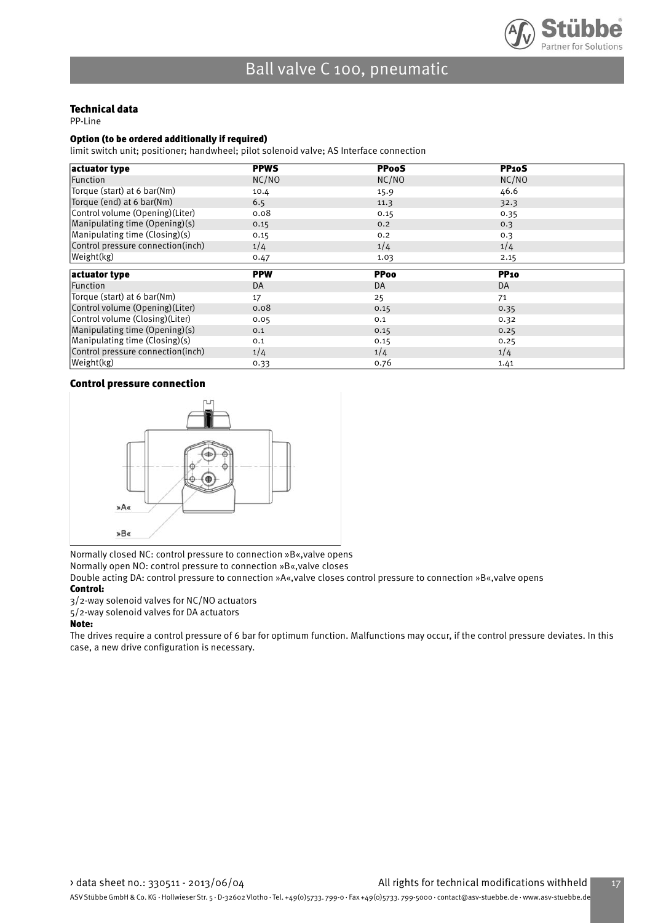

#### Technical data

PP-Line

#### Option (to be ordered additionally if required)

limit switch unit; positioner; handwheel; pilot solenoid valve; AS Interface connection

| actuator type                     | <b>PPWS</b> | <b>PPooS</b> | <b>PP10S</b> |  |
|-----------------------------------|-------------|--------------|--------------|--|
| Function                          | NC/NO       | NC/NO        | NC/NO        |  |
| Torque (start) at 6 bar(Nm)       | 10.4        | 15.9         | 46.6         |  |
| Torque (end) at 6 bar(Nm)         | 6.5         | 11.3         | 32.3         |  |
| Control volume (Opening)(Liter)   | 0.08        | 0.15         | 0.35         |  |
| Manipulating time (Opening)(s)    | 0.15        | 0.2          | 0.3          |  |
| Manipulating time (Closing)(s)    | 0.15        | 0.2          | 0.3          |  |
| Control pressure connection(inch) | 1/4         | 1/4          | 1/4          |  |
| Weight(kg)                        | 0.47        | 1.03         | 2.15         |  |
|                                   |             |              |              |  |
|                                   |             |              |              |  |
| actuator type                     | <b>PPW</b>  | <b>PPoo</b>  | <b>PP10</b>  |  |
| Function                          | DA          | DA           | DA           |  |
| Torque (start) at 6 bar(Nm)       | 17          | 25           | 71           |  |
| Control volume (Opening) (Liter)  | 0.08        | 0.15         | 0.35         |  |
| Control volume (Closing) (Liter)  | 0.05        | 0.1          | 0.32         |  |
| Manipulating time (Opening)(s)    | 0.1         | 0.15         | 0.25         |  |
| Manipulating time (Closing)(s)    | 0.1         | 0.15         | 0.25         |  |
| Control pressure connection(inch) | 1/4         | 1/4          | 1/4          |  |

#### Control pressure connection



Normally closed NC: control pressure to connection »B«,valve opens

Normally open NO: control pressure to connection »B«,valve closes

Double acting DA: control pressure to connection »A«,valve closes control pressure to connection »B«,valve opens Control:

3/2-way solenoid valves for NC/NO actuators

5/2-way solenoid valves for DA actuators

#### Note:

The drives require a control pressure of 6 bar for optimum function. Malfunctions may occur, if the control pressure deviates. In this case, a new drive configuration is necessary.